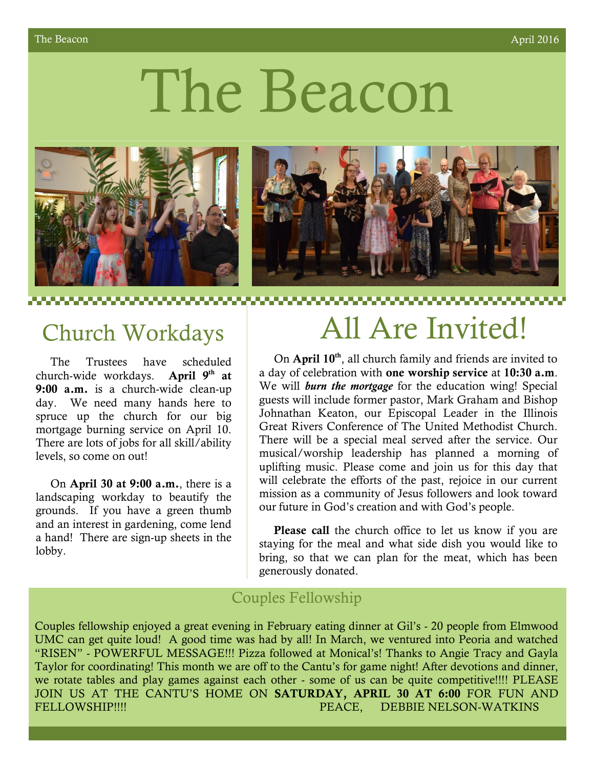# The Beacon





 The Trustees have scheduled church-wide workdays. **April 9th at 9:00 a.m.** is a church-wide clean-up day. We need many hands here to spruce up the church for our big mortgage burning service on April 10. There are lots of jobs for all skill/ability levels, so come on out!

 On **April 30 at 9:00 a.m.**, there is a landscaping workday to beautify the grounds. If you have a green thumb and an interest in gardening, come lend a hand! There are sign-up sheets in the lobby.

# Church Workdays | All Are Invited!

 On **April 10th**, all church family and friends are invited to a day of celebration with **one worship service** at **10:30 a.m**. We will *burn the mortgage* for the education wing! Special guests will include former pastor, Mark Graham and Bishop Johnathan Keaton, our Episcopal Leader in the Illinois Great Rivers Conference of The United Methodist Church. There will be a special meal served after the service. Our musical/worship leadership has planned a morning of uplifting music. Please come and join us for this day that will celebrate the efforts of the past, rejoice in our current mission as a community of Jesus followers and look toward our future in God's creation and with God's people.

 **Please call** the church office to let us know if you are staying for the meal and what side dish you would like to bring, so that we can plan for the meat, which has been generously donated.

# Couples Fellowship

Couples fellowship enjoyed a great evening in February eating dinner at Gil's - 20 people from Elmwood UMC can get quite loud! A good time was had by all! In March, we ventured into Peoria and watched "RISEN" - POWERFUL MESSAGE!!! Pizza followed at Monical's! Thanks to Angie Tracy and Gayla Taylor for coordinating! This month we are off to the Cantu's for game night! After devotions and dinner, we rotate tables and play games against each other - some of us can be quite competitive!!!! PLEASE JOIN US AT THE CANTU'S HOME ON **SATURDAY, APRIL 30 AT 6:00** FOR FUN AND FELLOWSHIP!!!! PEACE, DEBBIE NELSON-WATKINS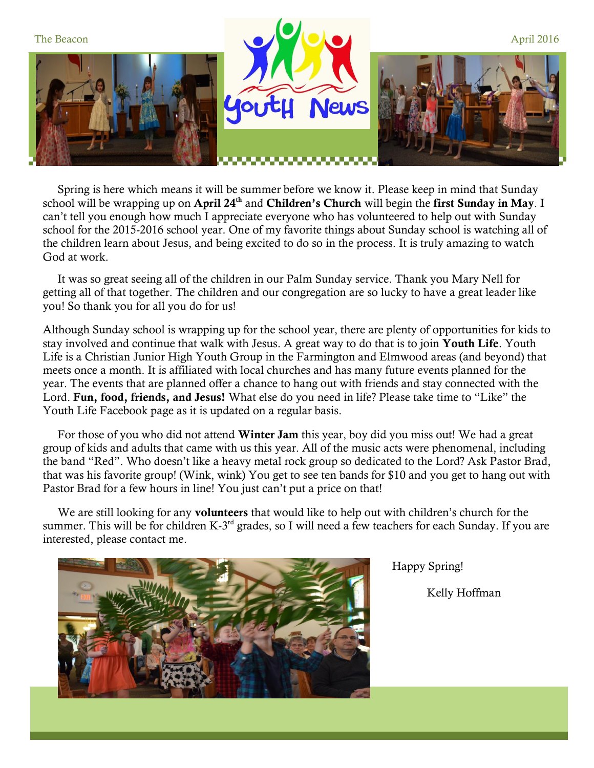

 Spring is here which means it will be summer before we know it. Please keep in mind that Sunday school will be wrapping up on **April 24th** and **Children's Church** will begin the **first Sunday in May**. I can't tell you enough how much I appreciate everyone who has volunteered to help out with Sunday school for the 2015-2016 school year. One of my favorite things about Sunday school is watching all of the children learn about Jesus, and being excited to do so in the process. It is truly amazing to watch God at work.

 It was so great seeing all of the children in our Palm Sunday service. Thank you Mary Nell for getting all of that together. The children and our congregation are so lucky to have a great leader like you! So thank you for all you do for us!

Although Sunday school is wrapping up for the school year, there are plenty of opportunities for kids to stay involved and continue that walk with Jesus. A great way to do that is to join **Youth Life**. Youth Life is a Christian Junior High Youth Group in the Farmington and Elmwood areas (and beyond) that meets once a month. It is affiliated with local churches and has many future events planned for the year. The events that are planned offer a chance to hang out with friends and stay connected with the Lord. **Fun, food, friends, and Jesus!** What else do you need in life? Please take time to "Like" the Youth Life Facebook page as it is updated on a regular basis.

 For those of you who did not attend **Winter Jam** this year, boy did you miss out! We had a great group of kids and adults that came with us this year. All of the music acts were phenomenal, including the band "Red". Who doesn't like a heavy metal rock group so dedicated to the Lord? Ask Pastor Brad, that was his favorite group! (Wink, wink) You get to see ten bands for \$10 and you get to hang out with Pastor Brad for a few hours in line! You just can't put a price on that!

 We are still looking for any **volunteers** that would like to help out with children's church for the summer. This will be for children K-3<sup>rd</sup> grades, so I will need a few teachers for each Sunday. If you are interested, please contact me.



Happy Spring!

Kelly Hoffman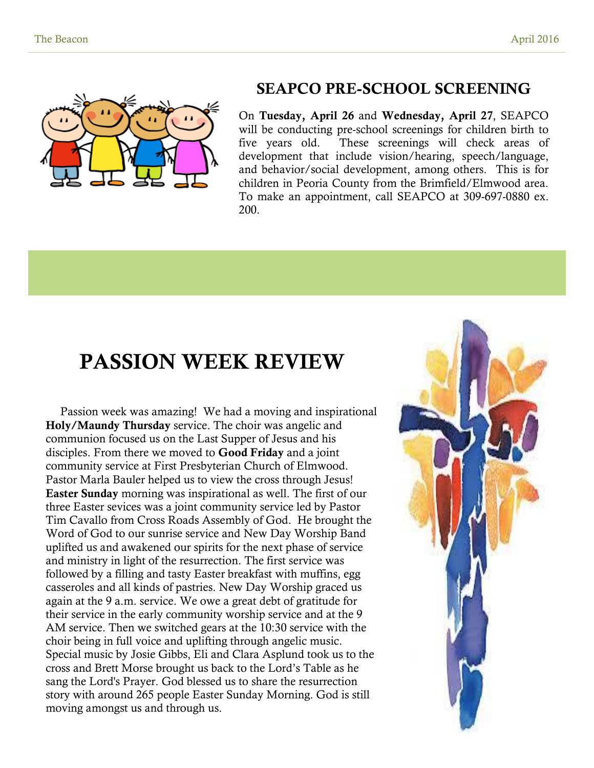

# **SEAPCO PRE-SCHOOL SCREENING**

On **Tuesday, April 26** and **Wednesday, April 27**, SEAPCO will be conducting pre-school screenings for children birth to five years old. These screenings will check areas of development that include vision/hearing, speech/language, and behavior/social development, among others. This is for children in Peoria County from the Brimfield/Elmwood area. To make an appointment, call SEAPCO at 309-697-0880 ex. 200.

# **PASSION WEEK REVIEW**

 Passion week was amazing! We had a moving and inspirational **Holy/Maundy Thursday** service. The choir was angelic and communion focused us on the Last Supper of Jesus and his disciples. From there we moved to **Good Friday** and a joint community service at First Presbyterian Church of Elmwood. Pastor Marla Bauler helped us to view the cross through Jesus! **Easter Sunday** morning was inspirational as well. The first of our three Easter sevices was a joint community service led by Pastor Tim Cavallo from Cross Roads Assembly of God. He brought the Word of God to our sunrise service and New Day Worship Band uplifted us and awakened our spirits for the next phase of service and ministry in light of the resurrection. The first service was followed by a filling and tasty Easter breakfast with muffins, egg casseroles and all kinds of pastries. New Day Worship graced us again at the 9 a.m. service. We owe a great debt of gratitude for their service in the early community worship service and at the 9 AM service. Then we switched gears at the 10:30 service with the choir being in full voice and uplifting through angelic music. Special music by Josie Gibbs, Eli and Clara Asplund took us to the cross and Brett Morse brought us back to the Lord's Table as he sang the Lord's Prayer. God blessed us to share the resurrection story with around 265 people Easter Sunday Morning. God is still moving amongst us and through us.

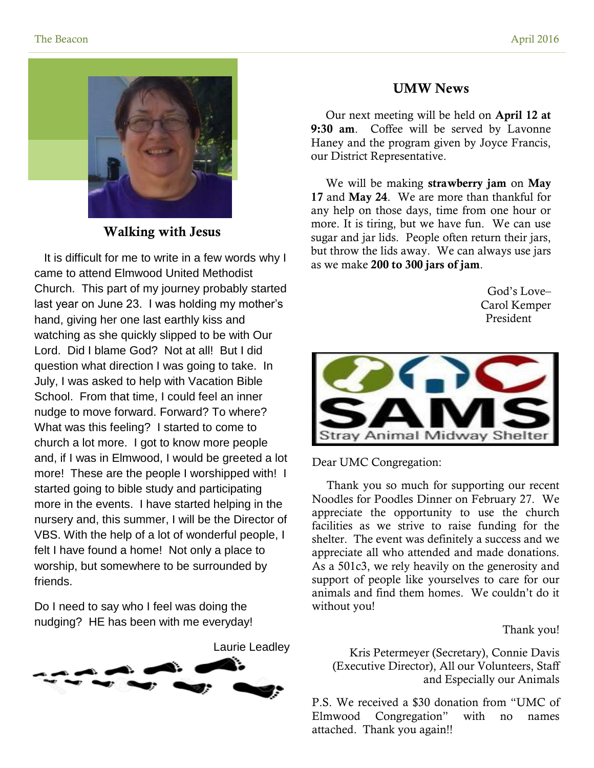

# **Walking with Jesus**

 It is difficult for me to write in a few words why I came to attend Elmwood United Methodist Church. This part of my journey probably started last year on June 23. I was holding my mother's hand, giving her one last earthly kiss and watching as she quickly slipped to be with Our Lord. Did I blame God? Not at all! But I did question what direction I was going to take. In July, I was asked to help with Vacation Bible School. From that time, I could feel an inner nudge to move forward. Forward? To where? What was this feeling? I started to come to church a lot more. I got to know more people and, if I was in Elmwood, I would be greeted a lot more! These are the people I worshipped with! I started going to bible study and participating more in the events. I have started helping in the nursery and, this summer, I will be the Director of VBS. With the help of a lot of wonderful people, I felt I have found a home! Not only a place to worship, but somewhere to be surrounded by friends.

Do I need to say who I feel was doing the nudging? HE has been with me everyday!



## **UMW News**

 Our next meeting will be held on **April 12 at 9:30 am**. Coffee will be served by Lavonne Haney and the program given by Joyce Francis, our District Representative.

 We will be making **strawberry jam** on **May 17** and **May 24**. We are more than thankful for any help on those days, time from one hour or more. It is tiring, but we have fun. We can use sugar and jar lids. People often return their jars, but throw the lids away. We can always use jars as we make **200 to 300 jars of jam**.

> God's Love– Carol Kemper President



Dear UMC Congregation:

 Thank you so much for supporting our recent Noodles for Poodles Dinner on February 27. We appreciate the opportunity to use the church facilities as we strive to raise funding for the shelter. The event was definitely a success and we appreciate all who attended and made donations. As a 501c3, we rely heavily on the generosity and support of people like yourselves to care for our animals and find them homes. We couldn't do it without you!

Thank you!

Kris Petermeyer (Secretary), Connie Davis (Executive Director), All our Volunteers, Staff and Especially our Animals

P.S. We received a \$30 donation from "UMC of Elmwood Congregation" with no names attached. Thank you again!!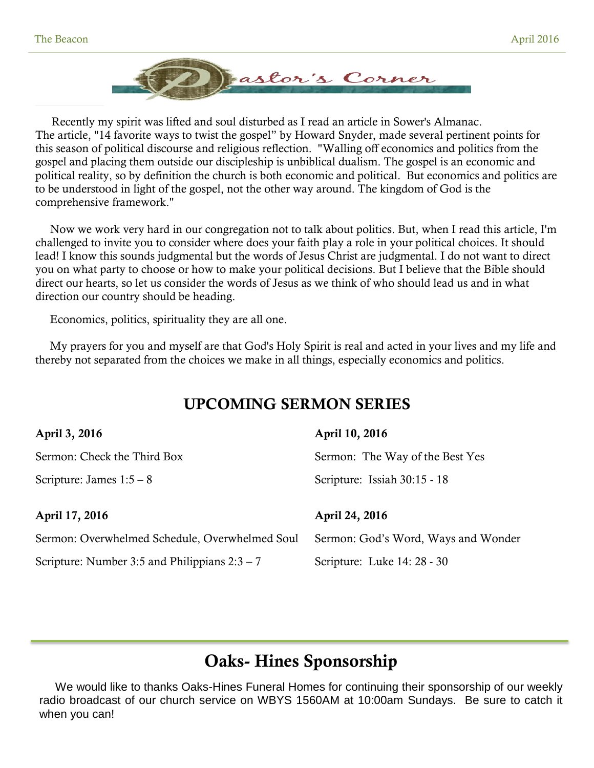

 Recently my spirit was lifted and soul disturbed as I read an article in Sower's Almanac. The article, "14 favorite ways to twist the gospel" by Howard Snyder, made several pertinent points for this season of political discourse and religious reflection. "Walling off economics and politics from the gospel and placing them outside our discipleship is unbiblical dualism. The gospel is an economic and political reality, so by definition the church is both economic and political. But economics and politics are to be understood in light of the gospel, not the other way around. The kingdom of God is the comprehensive framework."

 Now we work very hard in our congregation not to talk about politics. But, when I read this article, I'm challenged to invite you to consider where does your faith play a role in your political choices. It should lead! I know this sounds judgmental but the words of Jesus Christ are judgmental. I do not want to direct you on what party to choose or how to make your political decisions. But I believe that the Bible should direct our hearts, so let us consider the words of Jesus as we think of who should lead us and in what direction our country should be heading.

Economics, politics, spirituality they are all one.

 My prayers for you and myself are that God's Holy Spirit is real and acted in your lives and my life and thereby not separated from the choices we make in all things, especially economics and politics.

# **UPCOMING SERMON SERIES**

| April 3, 2016                                  | April 10, 2016                      |
|------------------------------------------------|-------------------------------------|
| Sermon: Check the Third Box                    | Sermon: The Way of the Best Yes     |
| Scripture: James $1:5-8$                       | Scripture: Issiah 30:15 - 18        |
|                                                |                                     |
| April 17, 2016                                 | April 24, 2016                      |
| Sermon: Overwhelmed Schedule, Overwhelmed Soul | Sermon: God's Word, Ways and Wonder |

# **Oaks- Hines Sponsorship**

 We would like to thanks Oaks-Hines Funeral Homes for continuing their sponsorship of our weekly radio broadcast of our church service on WBYS 1560AM at 10:00am Sundays. Be sure to catch it when you can!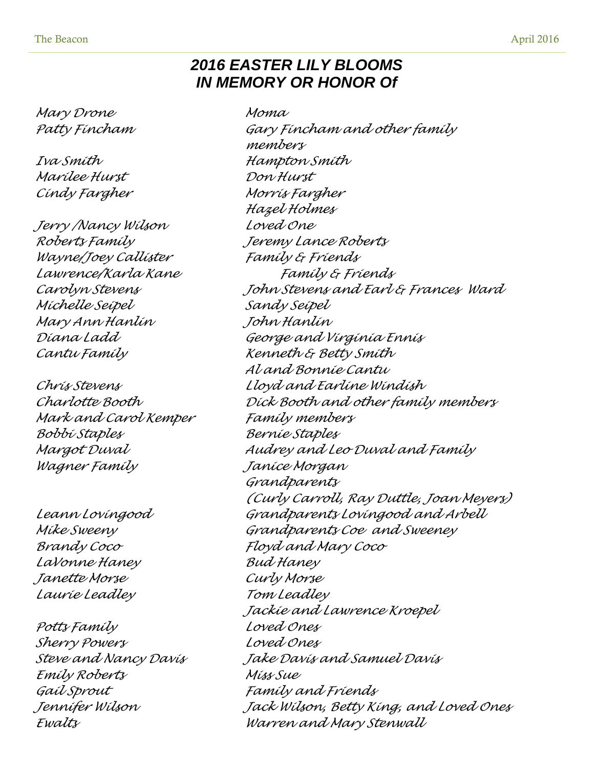# *2016 EASTER LILY BLOOMS IN MEMORY OR HONOR Of*

*Mary Drone Moma*

*Marilee Hurst Don Hurst Cindy Fargher Morris Fargher*

*Jerry /Nancy Wilson Loved One Roberts Family Jeremy Lance Roberts Wayne/Joey Callister Family & Friends Michelle Seipel Sandy Seipel Mary Ann Hanlin John Hanlin*

*Mark and Carol Kemper Family members Bobbi Staples Bernie Staples Wagner Family Janice Morgan*

*LaVonne Haney Bud Haney Janette Morse Curly Morse Laurie Leadley Tom Leadley* 

*Potts Family Loved Ones Sherry Powers Loved Ones Emily Roberts Miss Sue Gail Sprout Family and Friends*

*Patty Fincham Gary Fincham and other family members Iva Smith Hampton Smith Hazel Holmes Lawrence/Karla Kane Family & Friends Carolyn Stevens John Stevens and Earl & Frances Ward Diana Ladd George and Virginia Ennis Cantu Family Kenneth & Betty Smith Al and Bonnie Cantu Chris Stevens Lloyd and Earline Windish Charlotte Booth Dick Booth and other family members Margot Duval Audrey and Leo Duval and Family Grandparents (Curly Carroll, Ray Duttle, Joan Meyers) Leann Lovingood Grandparents Lovingood and Arbell Mike Sweeny Grandparents Coe and Sweeney Brandy Coco Floyd and Mary Coco Jackie and Lawrence Kroepel Steve and Nancy Davis Jake Davis and Samuel Davis Jennifer Wilson Jack Wilson, Betty King, and Loved Ones Ewalts Warren and Mary Stenwall*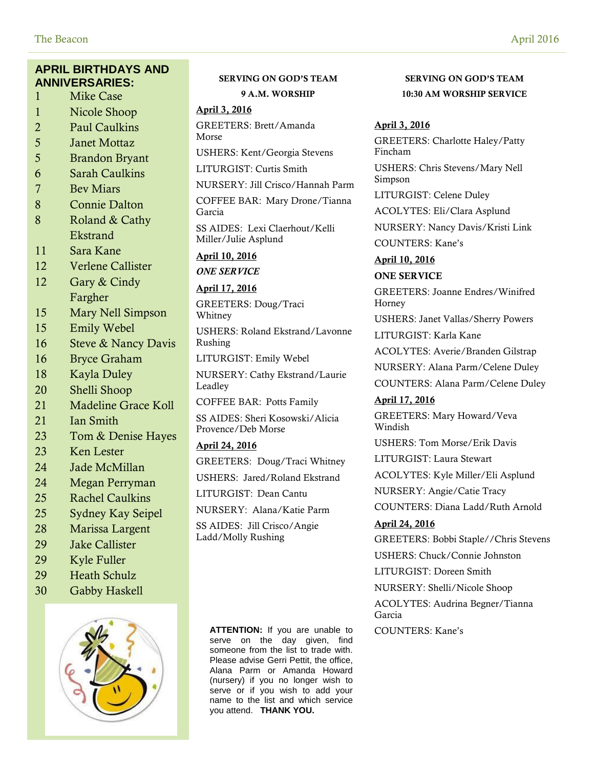## **APRIL BIRTHDAYS AND ANNIVERSARIES:**

- 1 Mike Case
- 1 Nicole Shoop
- 2 Paul Caulkins
- 5 Janet Mottaz
- 5 Brandon Bryant
- 6 Sarah Caulkins
- 7 Bev Miars
- 8 Connie Dalton
- 8 Roland & Cathy Ekstrand
- 11 Sara Kane
- 12 Verlene Callister
- 12 Gary & Cindy Fargher
- 15 Mary Nell Simpson
- 15 Emily Webel
- 16 Steve & Nancy Davis
- 16 Bryce Graham
- 18 Kayla Duley
- 20 Shelli Shoop
- 21 Madeline Grace Koll
- 21 Ian Smith
- 23 Tom & Denise Hayes
- 23 Ken Lester
- 24 Jade McMillan
- 24 Megan Perryman
- 25 Rachel Caulkins
- 25 Sydney Kay Seipel
- 28 Marissa Largent
- 29 Jake Callister
- 29 Kyle Fuller
- 29 Heath Schulz
- 





# **SERVING ON GOD'S TEAM 9 A.M. WORSHIP**

#### **April 3, 2016**

GREETERS: Brett/Amanda Morse

USHERS: Kent/Georgia Stevens

LITURGIST: Curtis Smith

NURSERY: Jill Crisco/Hannah Parm

COFFEE BAR: Mary Drone/Tianna Garcia

SS AIDES: Lexi Claerhout/Kelli Miller/Julie Asplund

**April 10, 2016**

*ONE SERVICE*

**April 17, 2016** GREETERS: Doug/Traci

Whitney

USHERS: Roland Ekstrand/Lavonne Rushing

LITURGIST: Emily Webel

NURSERY: Cathy Ekstrand/Laurie Leadley

COFFEE BAR: Potts Family

SS AIDES: Sheri Kosowski/Alicia Provence/Deb Morse

#### **April 24, 2016**

GREETERS: Doug/Traci Whitney

USHERS: Jared/Roland Ekstrand

LITURGIST: Dean Cantu

NURSERY: Alana/Katie Parm

SS AIDES: Jill Crisco/Angie Ladd/Molly Rushing

> ATTENTION: If you are unable to COUNTERS: Kane's serve on the day given, find someone from the list to trade with. Please advise Gerri Pettit, the office, Alana Parm or Amanda Howard (nursery) if you no longer wish to  $\frac{3}{x}$  serve or if you wish to add your name to the list and which service you attend. **THANK YOU.**

# **SERVING ON GOD'S TEAM 10:30 AM WORSHIP SERVICE**

#### **April 3, 2016**

GREETERS: Charlotte Haley/Patty Fincham

USHERS: Chris Stevens/Mary Nell Simpson

LITURGIST: Celene Duley

ACOLYTES: Eli/Clara Asplund

NURSERY: Nancy Davis/Kristi Link COUNTERS: Kane's

**April 10, 2016**

#### **ONE SERVICE**

GREETERS: Joanne Endres/Winifred Horney

USHERS: Janet Vallas/Sherry Powers

LITURGIST: Karla Kane

ACOLYTES: Averie/Branden Gilstrap

NURSERY: Alana Parm/Celene Duley

COUNTERS: Alana Parm/Celene Duley

#### **April 17, 2016**

GREETERS: Mary Howard/Veva Windish

USHERS: Tom Morse/Erik Davis

LITURGIST: Laura Stewart

ACOLYTES: Kyle Miller/Eli Asplund

NURSERY: Angie/Catie Tracy

COUNTERS: Diana Ladd/Ruth Arnold

#### **April 24, 2016**

GREETERS: Bobbi Staple//Chris Stevens USHERS: Chuck/Connie Johnston

LITURGIST: Doreen Smith

NURSERY: Shelli/Nicole Shoop

ACOLYTES: Audrina Begner/Tianna Garcia